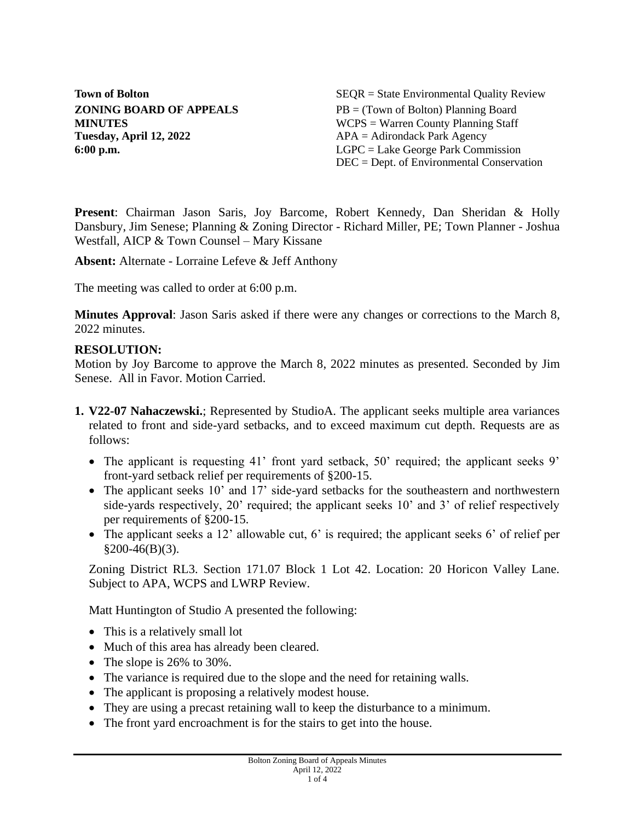**Tuesday, April 12, 2022** APA = Adirondack Park Agency

**Town of Bolton** SEQR = State Environmental Quality Review **ZONING BOARD OF APPEALS** PB = (Town of Bolton) Planning Board **MINUTES** WCPS = Warren County Planning Staff **6:00 p.m.** LGPC = Lake George Park Commission DEC = Dept. of Environmental Conservation

**Present**: Chairman Jason Saris, Joy Barcome, Robert Kennedy, Dan Sheridan & Holly Dansbury, Jim Senese; Planning & Zoning Director - Richard Miller, PE; Town Planner - Joshua Westfall, AICP & Town Counsel – Mary Kissane

**Absent:** Alternate - Lorraine Lefeve & Jeff Anthony

The meeting was called to order at 6:00 p.m.

**Minutes Approval**: Jason Saris asked if there were any changes or corrections to the March 8, 2022 minutes.

## **RESOLUTION:**

Motion by Joy Barcome to approve the March 8, 2022 minutes as presented. Seconded by Jim Senese. All in Favor. Motion Carried.

- **1. V22-07 Nahaczewski.**; Represented by StudioA. The applicant seeks multiple area variances related to front and side-yard setbacks, and to exceed maximum cut depth. Requests are as follows:
	- The applicant is requesting 41' front yard setback, 50' required; the applicant seeks 9' front-yard setback relief per requirements of §200-15.
	- The applicant seeks 10' and 17' side-yard setbacks for the southeastern and northwestern side-yards respectively, 20' required; the applicant seeks 10' and 3' of relief respectively per requirements of §200-15.
	- The applicant seeks a 12' allowable cut, 6' is required; the applicant seeks 6' of relief per  $§200-46(B)(3).$

Zoning District RL3. Section 171.07 Block 1 Lot 42. Location: 20 Horicon Valley Lane. Subject to APA, WCPS and LWRP Review.

Matt Huntington of Studio A presented the following:

- This is a relatively small lot
- Much of this area has already been cleared.
- The slope is 26% to 30%.
- The variance is required due to the slope and the need for retaining walls.
- The applicant is proposing a relatively modest house.
- They are using a precast retaining wall to keep the disturbance to a minimum.
- The front yard encroachment is for the stairs to get into the house.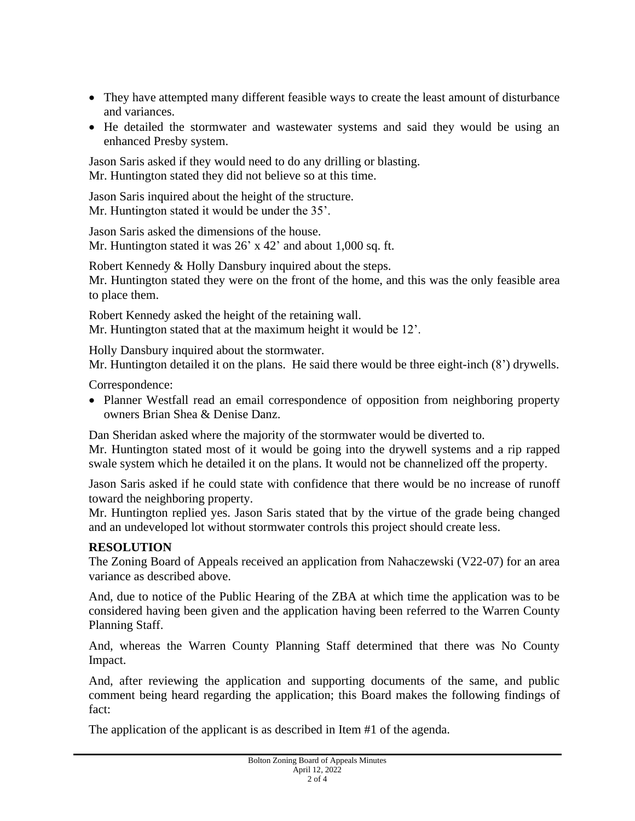- They have attempted many different feasible ways to create the least amount of disturbance and variances.
- He detailed the stormwater and wastewater systems and said they would be using an enhanced Presby system.

Jason Saris asked if they would need to do any drilling or blasting. Mr. Huntington stated they did not believe so at this time.

Jason Saris inquired about the height of the structure. Mr. Huntington stated it would be under the 35'.

Jason Saris asked the dimensions of the house. Mr. Huntington stated it was  $26'$  x 42' and about 1,000 sq. ft.

Robert Kennedy & Holly Dansbury inquired about the steps. Mr. Huntington stated they were on the front of the home, and this was the only feasible area to place them.

Robert Kennedy asked the height of the retaining wall. Mr. Huntington stated that at the maximum height it would be 12'.

Holly Dansbury inquired about the stormwater.

Mr. Huntington detailed it on the plans. He said there would be three eight-inch (8') drywells.

Correspondence:

• Planner Westfall read an email correspondence of opposition from neighboring property owners Brian Shea & Denise Danz.

Dan Sheridan asked where the majority of the stormwater would be diverted to.

Mr. Huntington stated most of it would be going into the drywell systems and a rip rapped swale system which he detailed it on the plans. It would not be channelized off the property.

Jason Saris asked if he could state with confidence that there would be no increase of runoff toward the neighboring property.

Mr. Huntington replied yes. Jason Saris stated that by the virtue of the grade being changed and an undeveloped lot without stormwater controls this project should create less.

## **RESOLUTION**

The Zoning Board of Appeals received an application from Nahaczewski (V22-07) for an area variance as described above.

And, due to notice of the Public Hearing of the ZBA at which time the application was to be considered having been given and the application having been referred to the Warren County Planning Staff.

And, whereas the Warren County Planning Staff determined that there was No County Impact.

And, after reviewing the application and supporting documents of the same, and public comment being heard regarding the application; this Board makes the following findings of fact:

The application of the applicant is as described in Item #1 of the agenda.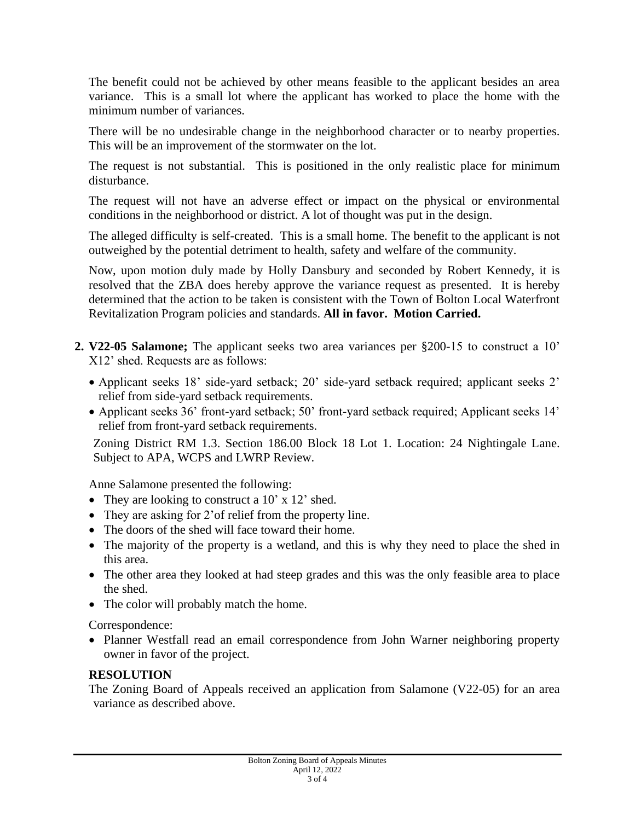The benefit could not be achieved by other means feasible to the applicant besides an area variance. This is a small lot where the applicant has worked to place the home with the minimum number of variances.

There will be no undesirable change in the neighborhood character or to nearby properties. This will be an improvement of the stormwater on the lot.

The request is not substantial. This is positioned in the only realistic place for minimum disturbance.

The request will not have an adverse effect or impact on the physical or environmental conditions in the neighborhood or district. A lot of thought was put in the design.

The alleged difficulty is self-created. This is a small home. The benefit to the applicant is not outweighed by the potential detriment to health, safety and welfare of the community.

Now, upon motion duly made by Holly Dansbury and seconded by Robert Kennedy, it is resolved that the ZBA does hereby approve the variance request as presented. It is hereby determined that the action to be taken is consistent with the Town of Bolton Local Waterfront Revitalization Program policies and standards. **All in favor. Motion Carried.**

- **2. V22-05 Salamone;** The applicant seeks two area variances per §200-15 to construct a 10' X12' shed. Requests are as follows:
	- Applicant seeks 18' side-yard setback; 20' side-yard setback required; applicant seeks 2' relief from side-yard setback requirements.
	- Applicant seeks 36' front-yard setback; 50' front-yard setback required; Applicant seeks 14' relief from front-yard setback requirements.

Zoning District RM 1.3. Section 186.00 Block 18 Lot 1. Location: 24 Nightingale Lane. Subject to APA, WCPS and LWRP Review.

Anne Salamone presented the following:

- They are looking to construct a 10' x 12' shed.
- They are asking for 2' of relief from the property line.
- The doors of the shed will face toward their home.
- The majority of the property is a wetland, and this is why they need to place the shed in this area.
- The other area they looked at had steep grades and this was the only feasible area to place the shed.
- The color will probably match the home.

Correspondence:

• Planner Westfall read an email correspondence from John Warner neighboring property owner in favor of the project.

## **RESOLUTION**

The Zoning Board of Appeals received an application from Salamone (V22-05) for an area variance as described above.